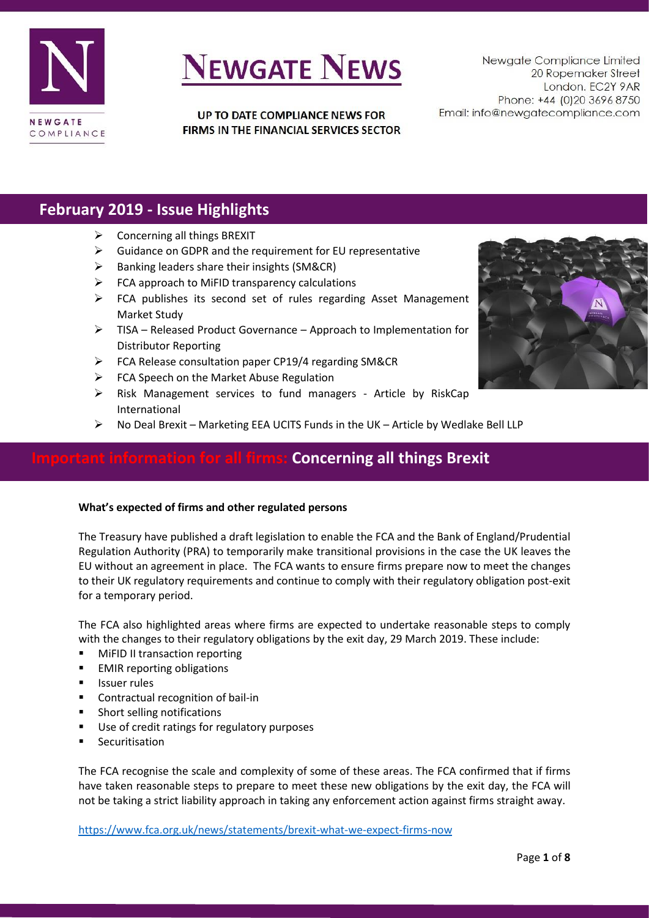

UP TO DATE COMPLIANCE NEWS FOR FIRMS IN THE FINANCIAL SERVICES SECTOR

Newgate Compliance Limited 20 Ropemaker Street London. EC2Y 9AR Phone: +44 (0)20 3696 8750 Email: info@newgatecompliance.com

## **February 2019 - Issue Highlights**

- $\triangleright$  Concerning all things BREXIT
- ➢ Guidance on GDPR and the requirement for EU representative
- ➢ Banking leaders share their insights (SM&CR)
- $\triangleright$  FCA approach to MiFID transparency calculations
- ➢ FCA publishes its second set of rules regarding Asset Management Market Study
- ➢ TISA Released Product Governance Approach to Implementation for Distributor Reporting
- ➢ FCA Release consultation paper CP19/4 regarding SM&CR
- ➢ FCA Speech on the Market Abuse Regulation
- ➢ Risk Management services to fund managers Article by RiskCap International
- $\triangleright$  No Deal Brexit Marketing EEA UCITS Funds in the UK Article by Wedlake Bell LLP

## **Concerning all things Brexit**

### **What's expected of firms and other regulated persons**

The Treasury have published a draft legislation to enable the FCA and the Bank of England/Prudential Regulation Authority (PRA) to temporarily make transitional provisions in the case the UK leaves the EU without an agreement in place. The FCA wants to ensure firms prepare now to meet the changes to their UK regulatory requirements and continue to comply with their regulatory obligation post-exit for a temporary period.

The FCA also highlighted areas where firms are expected to undertake reasonable steps to comply with the changes to their regulatory obligations by the exit day, 29 March 2019. These include:

- **MiFID II transaction reporting**
- EMIR reporting obligations
- **■** Issuer rules
- Contractual recognition of bail-in
- Short selling notifications
- Use of credit ratings for regulatory purposes
- Securitisation

The FCA recognise the scale and complexity of some of these areas. The FCA confirmed that if firms have taken reasonable steps to prepare to meet these new obligations by the exit day, the FCA will not be taking a strict liability approach in taking any enforcement action against firms straight away.

<https://www.fca.org.uk/news/statements/brexit-what-we-expect-firms-now>

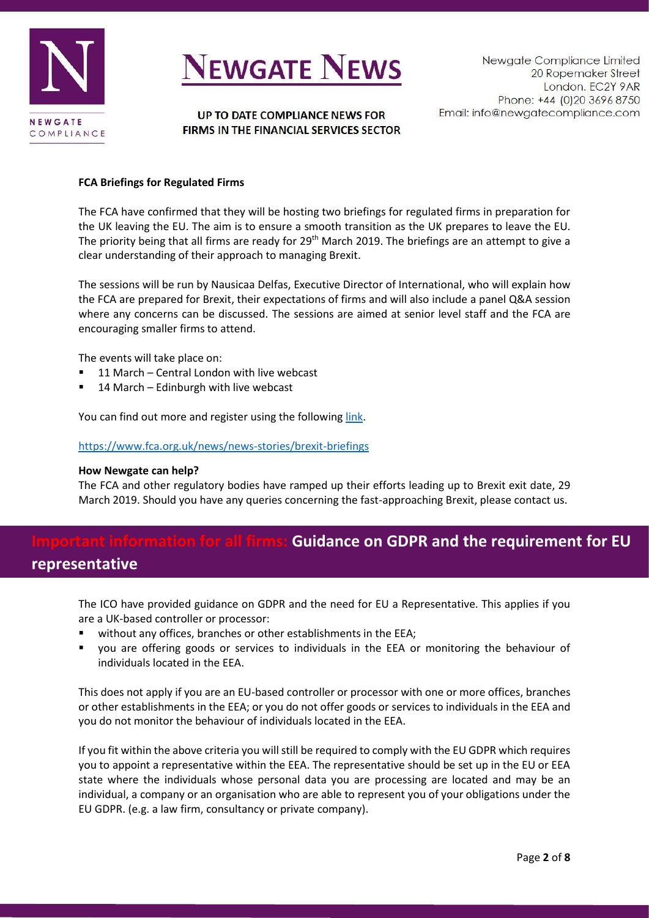



UP TO DATE COMPLIANCE NEWS FOR FIRMS IN THE FINANCIAL SERVICES SECTOR

### **FCA Briefings for Regulated Firms**

The FCA have confirmed that they will be hosting two briefings for regulated firms in preparation for the UK leaving the EU. The aim is to ensure a smooth transition as the UK prepares to leave the EU. The priority being that all firms are ready for 29<sup>th</sup> March 2019. The briefings are an attempt to give a clear understanding of their approach to managing Brexit.

The sessions will be run by Nausicaa Delfas, Executive Director of International, who will explain how the FCA are prepared for Brexit, their expectations of firms and will also include a panel Q&A session where any concerns can be discussed. The sessions are aimed at senior level staff and the FCA are encouraging smaller firms to attend.

The events will take place on:

- 11 March Central London with live webcast
- 14 March Edinburgh with live webcast

You can find out more and register using the following [link.](file:///C:/Users/jerri/OneDrive/Documents/fca.cvent.com/events/fca-brexit-briefing-and-q-a-preparing-your-firm/event-summary-eae34d0396694fa4b3bbee0566a6cf86.aspx)

### <https://www.fca.org.uk/news/news-stories/brexit-briefings>

#### **How Newgate can help?**

The FCA and other regulatory bodies have ramped up their efforts leading up to Brexit exit date, 29 March 2019. Should you have any queries concerning the fast-approaching Brexit, please contact us.

## **Important information for all firms: Guidance on GDPR and the requirement for EU representative**

The ICO have provided guidance on GDPR and the need for EU a Representative. This applies if you are a UK-based controller or processor:

- without any offices, branches or other establishments in the EEA;
- you are offering goods or services to individuals in the EEA or monitoring the behaviour of individuals located in the EEA.

This does not apply if you are an EU-based controller or processor with one or more offices, branches or other establishments in the EEA; or you do not offer goods or services to individuals in the EEA and you do not monitor the behaviour of individuals located in the EEA.

If you fit within the above criteria you will still be required to comply with the EU GDPR which requires you to appoint a representative within the EEA. The representative should be set up in the EU or EEA state where the individuals whose personal data you are processing are located and may be an individual, a company or an organisation who are able to represent you of your obligations under the EU GDPR. (e.g. a law firm, consultancy or private company).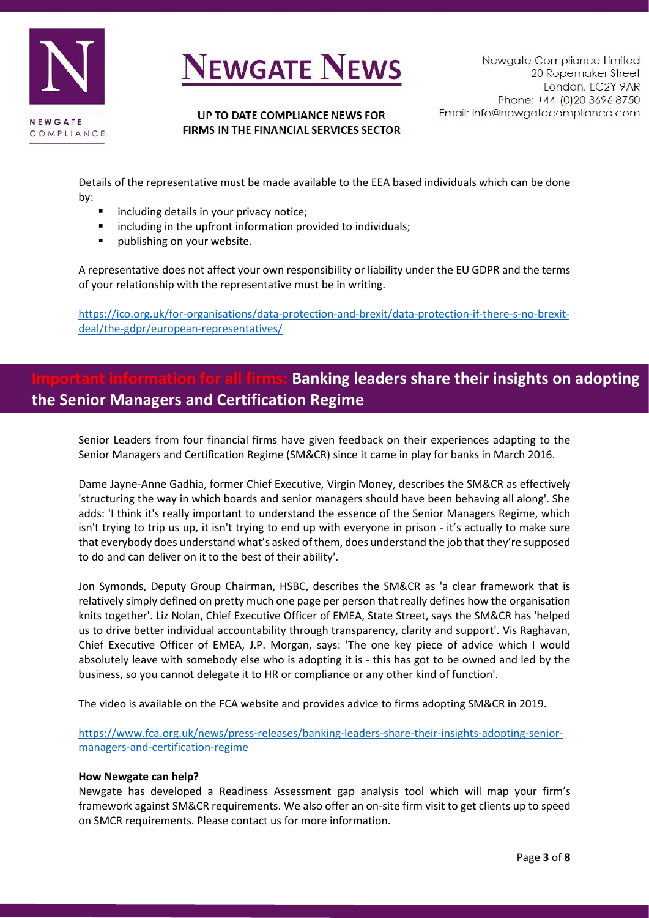

### UP TO DATE COMPLIANCE NEWS FOR FIRMS IN THE FINANCIAL SERVICES SECTOR

Details of the representative must be made available to the EEA based individuals which can be done by:

- including details in your privacy notice;
- including in the upfront information provided to individuals;
- publishing on your website.

A representative does not affect your own responsibility or liability under the EU GDPR and the terms of your relationship with the representative must be in writing.

[https://ico.org.uk/for-organisations/data-protection-and-brexit/data-protection-if-there-s-no-brexit](https://ico.org.uk/for-organisations/data-protection-and-brexit/data-protection-if-there-s-no-brexit-deal/the-gdpr/european-representatives/)[deal/the-gdpr/european-representatives/](https://ico.org.uk/for-organisations/data-protection-and-brexit/data-protection-if-there-s-no-brexit-deal/the-gdpr/european-representatives/)

# **Banking leaders share their insights on adopting the Senior Managers and Certification Regime**

Senior Leaders from four financial firms have given feedback on their experiences adapting to the Senior Managers and Certification Regime (SM&CR) since it came in play for banks in March 2016.

Dame Jayne-Anne Gadhia, former Chief Executive, Virgin Money, describes the SM&CR as effectively 'structuring the way in which boards and senior managers should have been behaving all along'. She adds: 'I think it's really important to understand the essence of the Senior Managers Regime, which isn't trying to trip us up, it isn't trying to end up with everyone in prison - it's actually to make sure that everybody does understand what's asked of them, does understand the job that they're supposed to do and can deliver on it to the best of their ability'.

Jon Symonds, Deputy Group Chairman, HSBC, describes the SM&CR as 'a clear framework that is relatively simply defined on pretty much one page per person that really defines how the organisation knits together'. Liz Nolan, Chief Executive Officer of EMEA, State Street, says the SM&CR has 'helped us to drive better individual accountability through transparency, clarity and support'. Vis Raghavan, Chief Executive Officer of EMEA, J.P. Morgan, says: 'The one key piece of advice which I would absolutely leave with somebody else who is adopting it is - this has got to be owned and led by the business, so you cannot delegate it to HR or compliance or any other kind of function'.

The video is available on the FCA website and provides advice to firms adopting SM&CR in 2019.

[https://www.fca.org.uk/news/press-releases/banking-leaders-share-their-insights-adopting-senior](https://www.fca.org.uk/news/press-releases/banking-leaders-share-their-insights-adopting-senior-managers-and-certification-regime)[managers-and-certification-regime](https://www.fca.org.uk/news/press-releases/banking-leaders-share-their-insights-adopting-senior-managers-and-certification-regime)

### **How Newgate can help?**

Newgate has developed a Readiness Assessment gap analysis tool which will map your firm's framework against SM&CR requirements. We also offer an on-site firm visit to get clients up to speed on SMCR requirements. Please contact us for more information.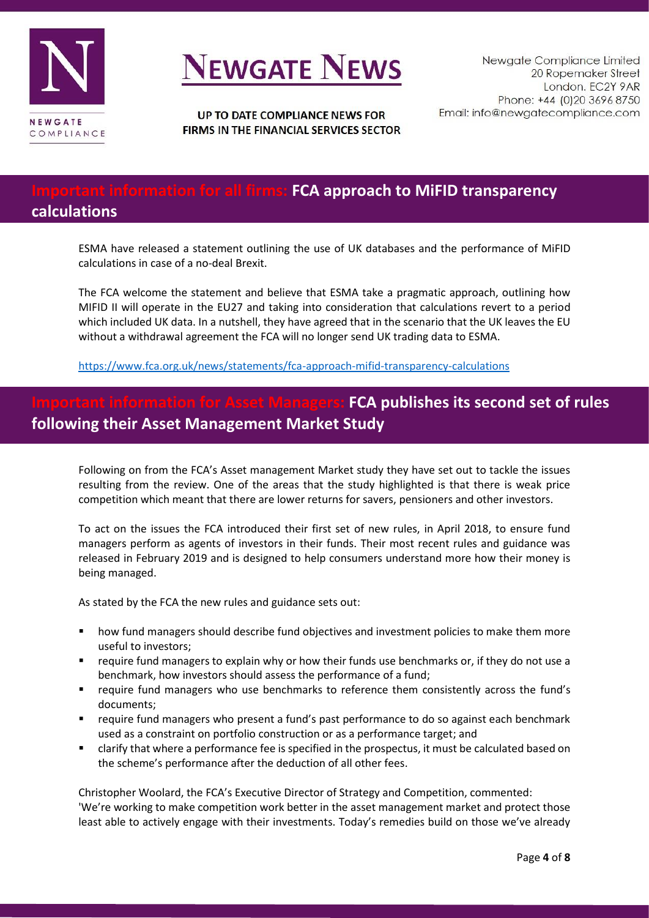

UP TO DATE COMPLIANCE NEWS FOR FIRMS IN THE FINANCIAL SERVICES SECTOR

# **For all firms: FCA approach to MiFID transparency**

## **calculations**

ESMA have released a statement outlining the use of UK databases and the performance of MiFID calculations in case of a no-deal Brexit.

The FCA welcome the statement and believe that ESMA take a pragmatic approach, outlining how MIFID II will operate in the EU27 and taking into consideration that calculations revert to a period which included UK data. In a nutshell, they have agreed that in the scenario that the UK leaves the EU without a withdrawal agreement the FCA will no longer send UK trading data to ESMA.

<https://www.fca.org.uk/news/statements/fca-approach-mifid-transparency-calculations>

# **IFCA publishes its second set of rules following their Asset Management Market Study**

Following on from the FCA's Asset management Market study they have set out to tackle the issues resulting from the review. One of the areas that the study highlighted is that there is weak price competition which meant that there are lower returns for savers, pensioners and other investors.

To act on the issues the FCA introduced their first set of new rules, in April 2018, to ensure fund managers perform as agents of investors in their funds. Their most recent rules and guidance was released in February 2019 and is designed to help consumers understand more how their money is being managed.

As stated by the FCA the new rules and guidance sets out:

- how fund managers should describe fund objectives and investment policies to make them more useful to investors;
- require fund managers to explain why or how their funds use benchmarks or, if they do not use a benchmark, how investors should assess the performance of a fund;
- require fund managers who use benchmarks to reference them consistently across the fund's documents;
- require fund managers who present a fund's past performance to do so against each benchmark used as a constraint on portfolio construction or as a performance target; and
- clarify that where a performance fee is specified in the prospectus, it must be calculated based on the scheme's performance after the deduction of all other fees.

Christopher Woolard, the FCA's Executive Director of Strategy and Competition, commented:

'We're working to make competition work better in the asset management market and protect those least able to actively engage with their investments. Today's remedies build on those we've already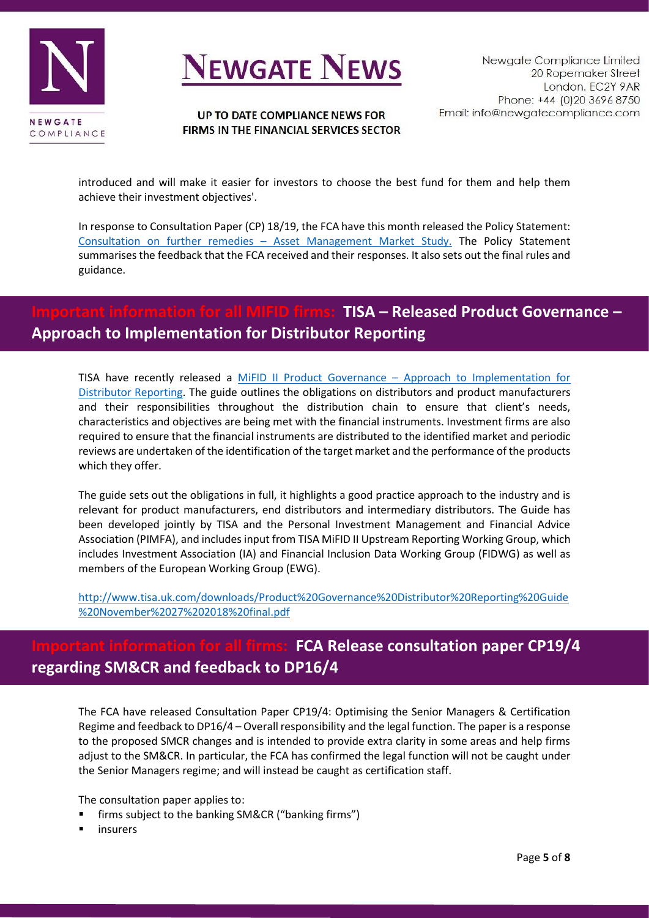

### UP TO DATE COMPLIANCE NEWS FOR FIRMS IN THE FINANCIAL SERVICES SECTOR

introduced and will make it easier for investors to choose the best fund for them and help them achieve their investment objectives'.

In response to Consultation Paper (CP) 18/19, the FCA have this month released the Policy Statement: Consultation on further remedies – [Asset Management Market Study.](https://www.fca.org.uk/publication/policy/ps19-04.pdf) The Policy Statement summarises the feedback that the FCA received and their responses. It also sets out the final rules and guidance.

# **Important information for all MIFID firms: TISA – Released Product Governance – Approach to Implementation for Distributor Reporting**

TISA have recently released a MiFID II Product Governance – [Approach to Implementation for](http://www.tisa.uk.com/downloads/Product%20Governance%20Distributor%20Reporting%20Guide%20November%2027%202018%20final.pdf)  [Distributor Reporting.](http://www.tisa.uk.com/downloads/Product%20Governance%20Distributor%20Reporting%20Guide%20November%2027%202018%20final.pdf) The guide outlines the obligations on distributors and product manufacturers and their responsibilities throughout the distribution chain to ensure that client's needs, characteristics and objectives are being met with the financial instruments. Investment firms are also required to ensure that the financial instruments are distributed to the identified market and periodic reviews are undertaken of the identification of the target market and the performance of the products which they offer.

The guide sets out the obligations in full, it highlights a good practice approach to the industry and is relevant for product manufacturers, end distributors and intermediary distributors. The Guide has been developed jointly by TISA and the Personal Investment Management and Financial Advice Association (PIMFA), and includes input from TISA MiFID II Upstream Reporting Working Group, which includes Investment Association (IA) and Financial Inclusion Data Working Group (FIDWG) as well as members of the European Working Group (EWG).

[http://www.tisa.uk.com/downloads/Product%20Governance%20Distributor%20Reporting%20Guide](http://www.tisa.uk.com/downloads/Product%20Governance%20Distributor%20Reporting%20Guide%20November%2027%202018%20final.pdf) [%20November%2027%202018%20final.pdf](http://www.tisa.uk.com/downloads/Product%20Governance%20Distributor%20Reporting%20Guide%20November%2027%202018%20final.pdf)

# **FCA Release consultation paper CP19/4 regarding SM&CR and feedback to DP16/4**

The FCA have released Consultation Paper CP19/4: Optimising the Senior Managers & Certification Regime and feedback to DP16/4 – Overall responsibility and the legal function. The paper is a response to the proposed SMCR changes and is intended to provide extra clarity in some areas and help firms adjust to the SM&CR. In particular, the FCA has confirmed the legal function will not be caught under the Senior Managers regime; and will instead be caught as certification staff.

The consultation paper applies to:

- firms subject to the banking SM&CR ("banking firms")
- **insurers**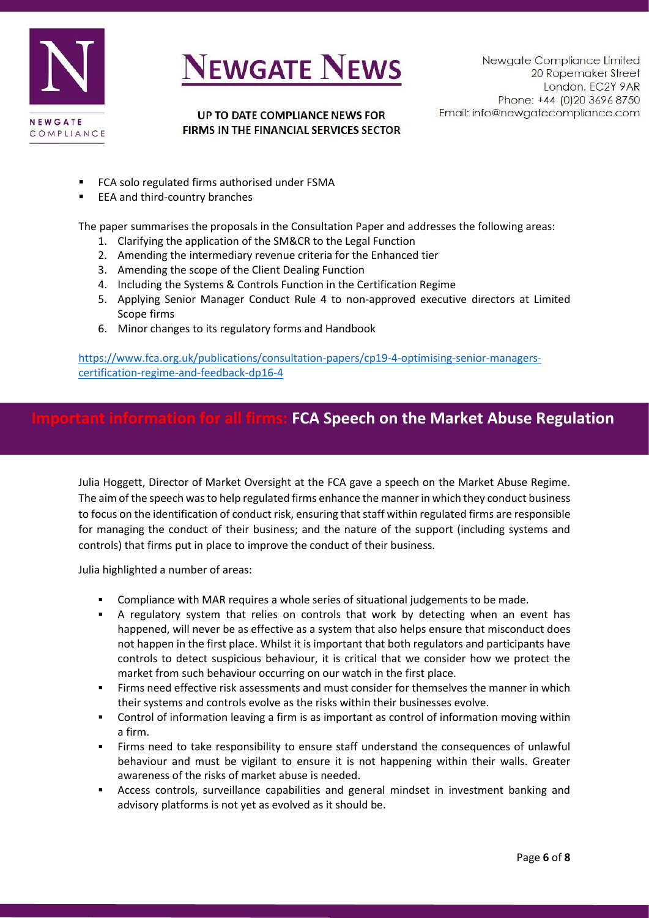



UP TO DATE COMPLIANCE NEWS FOR FIRMS IN THE FINANCIAL SERVICES SECTOR

- FCA solo regulated firms authorised under FSMA
- EEA and third-country branches

The paper summarises the proposals in the Consultation Paper and addresses the following areas:

- 1. Clarifying the application of the SM&CR to the Legal Function
- 2. Amending the intermediary revenue criteria for the Enhanced tier
- 3. Amending the scope of the Client Dealing Function
- 4. Including the Systems & Controls Function in the Certification Regime
- 5. Applying Senior Manager Conduct Rule 4 to non-approved executive directors at Limited Scope firms
- 6. Minor changes to its regulatory forms and Handbook

[https://www.fca.org.uk/publications/consultation-papers/cp19-4-optimising-senior-managers](https://www.fca.org.uk/publications/consultation-papers/cp19-4-optimising-senior-managers-certification-regime-and-feedback-dp16-4)[certification-regime-and-feedback-dp16-4](https://www.fca.org.uk/publications/consultation-papers/cp19-4-optimising-senior-managers-certification-regime-and-feedback-dp16-4)

## **Important information for all firms: FCA Speech on the Market Abuse Regulation**

Julia Hoggett, Director of Market Oversight at the FCA gave a speech on the Market Abuse Regime. The aim of the speech was to help regulated firms enhance the manner in which they conduct business to focus on the identification of conduct risk, ensuring that staff within regulated firms are responsible for managing the conduct of their business; and the nature of the support (including systems and controls) that firms put in place to improve the conduct of their business.

Julia highlighted a number of areas:

- Compliance with MAR requires a whole series of situational judgements to be made.
- **EXECT** A regulatory system that relies on controls that work by detecting when an event has happened, will never be as effective as a system that also helps ensure that misconduct does not happen in the first place. Whilst it is important that both regulators and participants have controls to detect suspicious behaviour, it is critical that we consider how we protect the market from such behaviour occurring on our watch in the first place.
- Firms need effective risk assessments and must consider for themselves the manner in which their systems and controls evolve as the risks within their businesses evolve.
- Control of information leaving a firm is as important as control of information moving within a firm.
- Firms need to take responsibility to ensure staff understand the consequences of unlawful behaviour and must be vigilant to ensure it is not happening within their walls. Greater awareness of the risks of market abuse is needed.
- Access controls, surveillance capabilities and general mindset in investment banking and advisory platforms is not yet as evolved as it should be.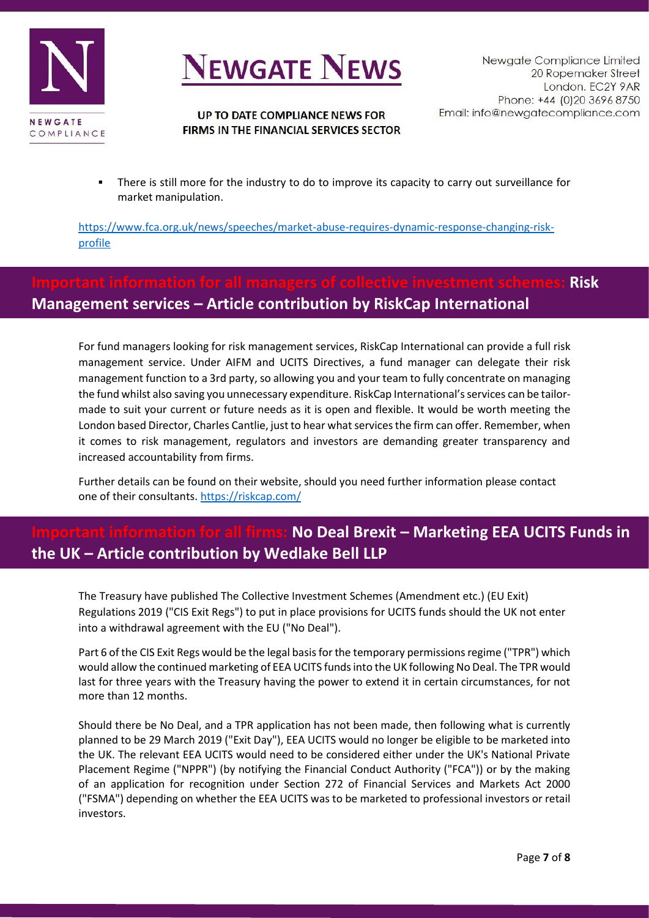



### UP TO DATE COMPLIANCE NEWS FOR FIRMS IN THE FINANCIAL SERVICES SECTOR

There is still more for the industry to do to improve its capacity to carry out surveillance for market manipulation.

[https://www.fca.org.uk/news/speeches/market-abuse-requires-dynamic-response-changing-risk](https://www.fca.org.uk/news/speeches/market-abuse-requires-dynamic-response-changing-risk-profile)[profile](https://www.fca.org.uk/news/speeches/market-abuse-requires-dynamic-response-changing-risk-profile)

# **Important information for all managers of collective investment schemes: Risk Management services – Article contribution by RiskCap International**

For fund managers looking for risk management services, RiskCap International can provide a full risk management service. Under AIFM and UCITS Directives, a fund manager can delegate their risk management function to a 3rd party, so allowing you and your team to fully concentrate on managing the fund whilst also saving you unnecessary expenditure. RiskCap International's services can be tailormade to suit your current or future needs as it is open and flexible. It would be worth meeting the London based Director, Charles Cantlie, just to hear what services the firm can offer. Remember, when it comes to risk management, regulators and investors are demanding greater transparency and increased accountability from firms.

Further details can be found on their website, should you need further information please contact one of their consultants.<https://riskcap.com/>

# **No Deal Brexit – Marketing EEA UCITS Funds in the UK – Article contribution by Wedlake Bell LLP**

The Treasury have published The Collective Investment Schemes (Amendment etc.) (EU Exit) Regulations 2019 ("CIS Exit Regs") to put in place provisions for UCITS funds should the UK not enter into a withdrawal agreement with the EU ("No Deal").

Part 6 of the CIS Exit Regs would be the legal basis for the temporary permissions regime ("TPR") which would allow the continued marketing of EEA UCITS funds into the UK following No Deal. The TPR would last for three years with the Treasury having the power to extend it in certain circumstances, for not more than 12 months.

Should there be No Deal, and a TPR application has not been made, then following what is currently planned to be 29 March 2019 ("Exit Day"), EEA UCITS would no longer be eligible to be marketed into the UK. The relevant EEA UCITS would need to be considered either under the UK's National Private Placement Regime ("NPPR") (by notifying the Financial Conduct Authority ("FCA")) or by the making of an application for recognition under Section 272 of Financial Services and Markets Act 2000 ("FSMA") depending on whether the EEA UCITS was to be marketed to professional investors or retail investors.